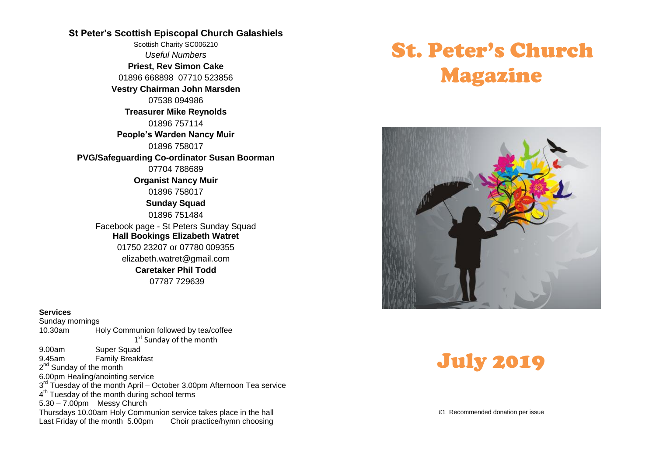#### **St Peter's Scottish Episcopal Church Galashiels**

Scottish Charity SC006210 *Useful Numbers*  **Priest, Rev Simon Cake** 01896 668898 07710 523856 **Vestry Chairman John Marsden** 07538 094986 **Treasurer Mike Reynolds** 01896 757114 **People's Warden Nancy Muir** 01896 758017 **PVG/Safeguarding Co-ordinator Susan Boorman** 07704 788689 **Organist Nancy Muir** 01896 758017 **Sunday Squad** 01896 751484 Facebook page - St Peters Sunday Squad **Hall Bookings Elizabeth Watret** 01750 23207 or 07780 009355 elizabeth.watret@gmail.com **Caretaker Phil Todd** 07787 729639

#### **Services**

Sunday mornings 10.30am Holy Communion followed by tea/coffee 1<sup>st</sup> Sunday of the month 9.00am Super Squad 9.45am Family Breakfast 2<sup>nd</sup> Sunday of the month 6.00pm Healing/anointing service 3<sup>rd</sup> Tuesday of the month April - October 3.00pm Afternoon Tea service 4<sup>th</sup> Tuesday of the month during school terms 5.30 – 7.00pm Messy Church Thursdays 10.00am Holy Communion service takes place in the hall Last Friday of the month 5.00pm Choir practice/hymn choosing

# St. Peter's Church Magazine





£1 Recommended donation per issue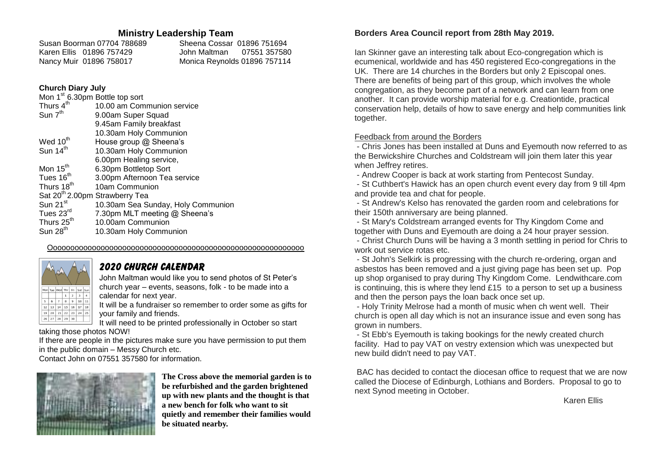#### **Ministry Leadership Team**

| Susan Boorman 07704 788689 |                          | Sheena Cossar 01896 751694   |  |
|----------------------------|--------------------------|------------------------------|--|
|                            | Karen Ellis 01896 757429 |                              |  |
|                            | Nancy Muir 01896 758017  | Monica Reynolds 01896 757114 |  |

#### **Church Diary July**

| Mon 1 <sup>st</sup> 6.30pm Bottle top sort |                                    |  |
|--------------------------------------------|------------------------------------|--|
| Thurs 4 <sup>th</sup>                      | 10.00 am Communion service         |  |
| Sun 7 <sup>th</sup>                        | 9.00am Super Squad                 |  |
|                                            | 9.45am Family breakfast            |  |
|                                            | 10.30am Holy Communion             |  |
| Wed 10 <sup>th</sup>                       | House group @ Sheena's             |  |
| Sun 14 <sup>th</sup>                       | 10.30am Holy Communion             |  |
|                                            | 6.00pm Healing service,            |  |
| Mon 15 <sup>th</sup>                       | 6.30pm Bottletop Sort              |  |
| Tues 16 <sup>th</sup>                      | 3.00pm Afternoon Tea service       |  |
| Thurs 18 <sup>th</sup>                     | 10am Communion                     |  |
| Sat 20 <sup>th</sup> 2.00pm Strawberry Tea |                                    |  |
| Sun $21st$                                 | 10.30am Sea Sunday, Holy Communion |  |
| Tues 23rd                                  | 7.30pm MLT meeting @ Sheena's      |  |
| Thurs 25 <sup>th</sup>                     | 10.00am Communion                  |  |
| Sun 28 <sup>th</sup>                       | 10.30am Holy Communion             |  |

Ooooooooooooooooooooooooooooooooooooooooooooooooooooooooooo

## Mon Tue Wed Thr Fri Sat Sur 12 13 14 15 16 17 18 19 20 21 22 23 24 25 26 27 28 29 30

#### *2020 church calendar*

John Maltman would like you to send photos of St Peter's church year – events, seasons, folk - to be made into a calendar for next year.

It will be a fundraiser so remember to order some as gifts for your family and friends.

It will need to be printed professionally in October so start taking those photos NOW!

If there are people in the pictures make sure you have permission to put them in the public domain – Messy Church etc.

Contact John on 07551 357580 for information.



**The Cross above the memorial garden is to be refurbished and the garden brightened up with new plants and the thought is that a new bench for folk who want to sit quietly and remember their families would be situated nearby.**

#### **Borders Area Council report from 28th May 2019.**

Ian Skinner gave an interesting talk about Eco-congregation which is ecumenical, worldwide and has 450 registered Eco-congregations in the UK. There are 14 churches in the Borders but only 2 Episcopal ones. There are benefits of being part of this group, which involves the whole congregation, as they become part of a network and can learn from one another. It can provide worship material for e.g. Creationtide, practical conservation help, details of how to save energy and help communities link together.

#### Feedback from around the Borders

- Chris Jones has been installed at Duns and Eyemouth now referred to as the Berwickshire Churches and Coldstream will join them later this year when Jeffrey retires.

- Andrew Cooper is back at work starting from Pentecost Sunday.

- St Cuthbert's Hawick has an open church event every day from 9 till 4pm and provide tea and chat for people.

- St Andrew's Kelso has renovated the garden room and celebrations for their 150th anniversary are being planned.

- St Mary's Coldstream arranged events for Thy Kingdom Come and together with Duns and Eyemouth are doing a 24 hour prayer session.

- Christ Church Duns will be having a 3 month settling in period for Chris to work out service rotas etc.

- St John's Selkirk is progressing with the church re-ordering, organ and asbestos has been removed and a just giving page has been set up. Pop up shop organised to pray during Thy Kingdom Come. Lendwithcare.com is continuing, this is where they lend £15 to a person to set up a business and then the person pays the loan back once set up.

- Holy Trinity Melrose had a month of music when ch went well. Their church is open all day which is not an insurance issue and even song has grown in numbers.

- St Ebb's Eyemouth is taking bookings for the newly created church facility. Had to pay VAT on vestry extension which was unexpected but new build didn't need to pay VAT.

BAC has decided to contact the diocesan office to request that we are now called the Diocese of Edinburgh, Lothians and Borders. Proposal to go to next Synod meeting in October.

Karen Ellis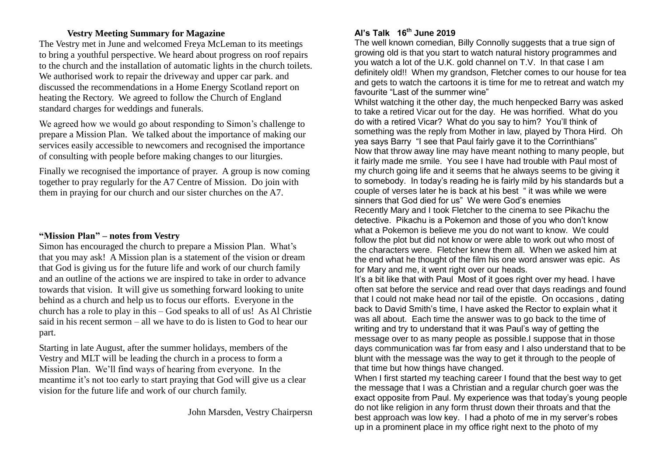#### **Vestry Meeting Summary for Magazine**

The Vestry met in June and welcomed Freya McLeman to its meetings to bring a youthful perspective. We heard about progress on roof repairs to the church and the installation of automatic lights in the church toilets. We authorised work to repair the driveway and upper car park, and discussed the recommendations in a Home Energy Scotland report on heating the Rectory. We agreed to follow the Church of England standard charges for weddings and funerals.

We agreed how we would go about responding to Simon's challenge to prepare a Mission Plan. We talked about the importance of making our services easily accessible to newcomers and recognised the importance of consulting with people before making changes to our liturgies.

Finally we recognised the importance of prayer. A group is now coming together to pray regularly for the A7 Centre of Mission. Do join with them in praying for our church and our sister churches on the A7.

#### **"Mission Plan" – notes from Vestry**

Simon has encouraged the church to prepare a Mission Plan. What's that you may ask! A Mission plan is a statement of the vision or dream that God is giving us for the future life and work of our church family and an outline of the actions we are inspired to take in order to advance towards that vision. It will give us something forward looking to unite behind as a church and help us to focus our efforts. Everyone in the church has a role to play in this – God speaks to all of us! As Al Christie said in his recent sermon – all we have to do is listen to God to hear our part.

Starting in late August, after the summer holidays, members of the Vestry and MLT will be leading the church in a process to form a Mission Plan. We'll find ways of hearing from everyone. In the meantime it's not too early to start praying that God will give us a clear vision for the future life and work of our church family.

John Marsden, Vestry Chairpersn

### **Al's Talk 16th June 2019**

The well known comedian, Billy Connolly suggests that a true sign of growing old is that you start to watch natural history programmes and you watch a lot of the U.K. gold channel on T.V. In that case I am definitely old!! When my grandson, Fletcher comes to our house for tea and gets to watch the cartoons it is time for me to retreat and watch my favourite "Last of the summer wine"

Whilst watching it the other day, the much henpecked Barry was asked to take a retired Vicar out for the day. He was horrified. What do you do with a retired Vicar? What do you say to him? You'll think of something was the reply from Mother in law, played by Thora Hird. Oh yea says Barry "I see that Paul fairly gave it to the Corrinthians" Now that throw away line may have meant nothing to many people, but it fairly made me smile. You see I have had trouble with Paul most of my church going life and it seems that he always seems to be giving it to somebody. In today's reading he is fairly mild by his standards but a couple of verses later he is back at his best " it was while we were sinners that God died for us" We were God's enemies Recently Mary and I took Fletcher to the cinema to see Pikachu the detective. Pikachu is a Pokemon and those of you who don't know what a Pokemon is believe me you do not want to know. We could follow the plot but did not know or were able to work out who most of the characters were. Fletcher knew them all. When we asked him at the end what he thought of the film his one word answer was epic. As for Mary and me, it went right over our heads.

It's a bit like that with Paul Most of it goes right over my head. I have often sat before the service and read over that days readings and found that I could not make head nor tail of the epistle. On occasions , dating back to David Smith's time, I have asked the Rector to explain what it was all about. Each time the answer was to go back to the time of writing and try to understand that it was Paul's way of getting the message over to as many people as possible.I suppose that in those days communication was far from easy and I also understand that to be blunt with the message was the way to get it through to the people of that time but how things have changed.

When I first started my teaching career I found that the best way to get the message that I was a Christian and a regular church goer was the exact opposite from Paul. My experience was that today's young people do not like religion in any form thrust down their throats and that the best approach was low key. I had a photo of me in my server's robes up in a prominent place in my office right next to the photo of my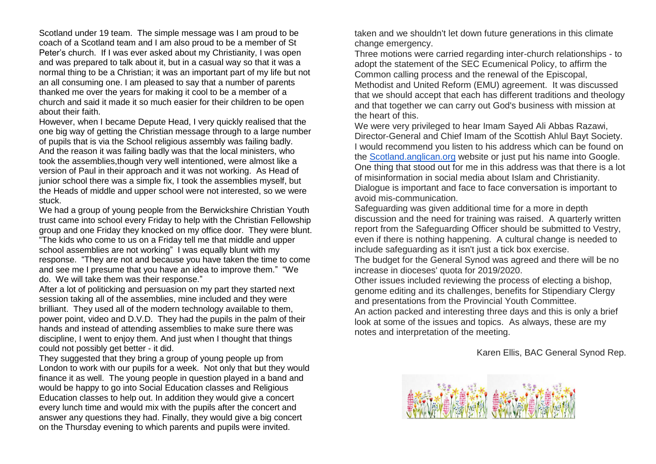Scotland under 19 team. The simple message was I am proud to be coach of a Scotland team and I am also proud to be a member of St Peter's church. If I was ever asked about my Christianity, I was open and was prepared to talk about it, but in a casual way so that it was a normal thing to be a Christian; it was an important part of my life but not an all consuming one. I am pleased to say that a number of parents thanked me over the years for making it cool to be a member of a church and said it made it so much easier for their children to be open about their faith.

However, when I became Depute Head, I very quickly realised that the one big way of getting the Christian message through to a large number of pupils that is via the School religious assembly was failing badly. And the reason it was failing badly was that the local ministers, who took the assemblies,though very well intentioned, were almost like a version of Paul in their approach and it was not working. As Head of junior school there was a simple fix, I took the assemblies myself, but the Heads of middle and upper school were not interested, so we were stuck.

We had a group of young people from the Berwickshire Christian Youth trust came into school every Friday to help with the Christian Fellowship group and one Friday they knocked on my office door. They were blunt. "The kids who come to us on a Friday tell me that middle and upper school assemblies are not working" I was equally blunt with my response. "They are not and because you have taken the time to come and see me I presume that you have an idea to improve them." "We do. We will take them was their response."

After a lot of politicking and persuasion on my part they started next session taking all of the assemblies, mine included and they were brilliant. They used all of the modern technology available to them, power point, video and D.V.D. They had the pupils in the palm of their hands and instead of attending assemblies to make sure there was discipline, I went to enjoy them. And just when I thought that things could not possibly get better - it did.

They suggested that they bring a group of young people up from London to work with our pupils for a week. Not only that but they would finance it as well. The young people in question played in a band and would be happy to go into Social Education classes and Religious Education classes to help out. In addition they would give a concert every lunch time and would mix with the pupils after the concert and answer any questions they had. Finally, they would give a big concert on the Thursday evening to which parents and pupils were invited.

taken and we shouldn't let down future generations in this climate change emergency.

Three motions were carried regarding inter-church relationships - to adopt the statement of the SEC Ecumenical Policy, to affirm the Common calling process and the renewal of the Episcopal, Methodist and United Reform (EMU) agreement. It was discussed that we should accept that each has different traditions and theology and that together we can carry out God's business with mission at the heart of this.

We were very privileged to hear Imam Sayed Ali Abbas Razawi, Director-General and Chief Imam of the Scottish Ahlul Bayt Society. I would recommend you listen to his address which can be found on the [Scotland.anglican.org](http://scotland.anglican.org/) website or just put his name into Google. One thing that stood out for me in this address was that there is a lot of misinformation in social media about Islam and Christianity. Dialogue is important and face to face conversation is important to avoid mis-communication.

Safeguarding was given additional time for a more in depth discussion and the need for training was raised. A quarterly written report from the Safeguarding Officer should be submitted to Vestry, even if there is nothing happening. A cultural change is needed to include safeguarding as it isn't just a tick box exercise.

The budget for the General Synod was agreed and there will be no increase in dioceses' quota for 2019/2020.

Other issues included reviewing the process of electing a bishop, genome editing and its challenges, benefits for Stipendiary Clergy and presentations from the Provincial Youth Committee.

An action packed and interesting three days and this is only a brief look at some of the issues and topics. As always, these are my notes and interpretation of the meeting.

Karen Ellis, BAC General Synod Rep.

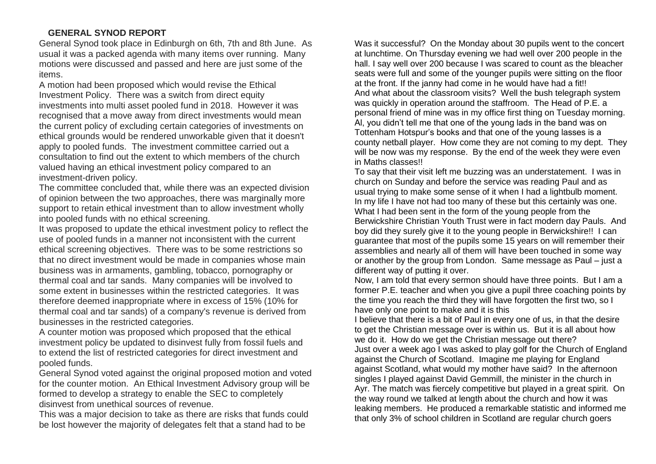#### **GENERAL SYNOD REPORT**

General Synod took place in Edinburgh on 6th, 7th and 8th June. As usual it was a packed agenda with many items over running. Many motions were discussed and passed and here are just some of the items.

A motion had been proposed which would revise the Ethical Investment Policy. There was a switch from direct equity investments into multi asset pooled fund in 2018. However it was recognised that a move away from direct investments would mean the current policy of excluding certain categories of investments on ethical grounds would be rendered unworkable given that it doesn't apply to pooled funds. The investment committee carried out a consultation to find out the extent to which members of the church valued having an ethical investment policy compared to an investment-driven policy.

The committee concluded that, while there was an expected division of opinion between the two approaches, there was marginally more support to retain ethical investment than to allow investment wholly into pooled funds with no ethical screening.

It was proposed to update the ethical investment policy to reflect the use of pooled funds in a manner not inconsistent with the current ethical screening objectives. There was to be some restrictions so that no direct investment would be made in companies whose main business was in armaments, gambling, tobacco, pornography or thermal coal and tar sands. Many companies will be involved to some extent in businesses within the restricted categories. It was therefore deemed inappropriate where in excess of 15% (10% for thermal coal and tar sands) of a company's revenue is derived from businesses in the restricted categories.

A counter motion was proposed which proposed that the ethical investment policy be updated to disinvest fully from fossil fuels and to extend the list of restricted categories for direct investment and pooled funds.

General Synod voted against the original proposed motion and voted for the counter motion. An Ethical Investment Advisory group will be formed to develop a strategy to enable the SEC to completely disinvest from unethical sources of revenue.

This was a major decision to take as there are risks that funds could be lost however the majority of delegates felt that a stand had to be

Was it successful? On the Monday about 30 pupils went to the concert at lunchtime. On Thursday evening we had well over 200 people in the hall. I say well over 200 because I was scared to count as the bleacher seats were full and some of the younger pupils were sitting on the floor at the front. If the janny had come in he would have had a fit!! And what about the classroom visits? Well the bush telegraph system was quickly in operation around the staffroom. The Head of P.E. a personal friend of mine was in my office first thing on Tuesday morning. Al, you didn't tell me that one of the young lads in the band was on Tottenham Hotspur's books and that one of the young lasses is a county netball player. How come they are not coming to my dept. They will be now was my response. By the end of the week they were even in Maths classes!!

To say that their visit left me buzzing was an understatement. I was in church on Sunday and before the service was reading Paul and as usual trying to make some sense of it when I had a lightbulb moment. In my life I have not had too many of these but this certainly was one. What I had been sent in the form of the young people from the Berwickshire Christian Youth Trust were in fact modern day Pauls. And boy did they surely give it to the young people in Berwickshire!! I can guarantee that most of the pupils some 15 years on will remember their assemblies and nearly all of them will have been touched in some way or another by the group from London. Same message as Paul – just a different way of putting it over.

Now, I am told that every sermon should have three points. But I am a former P.E. teacher and when you give a pupil three coaching points by the time you reach the third they will have forgotten the first two, so I have only one point to make and it is this

I believe that there is a bit of Paul in every one of us, in that the desire to get the Christian message over is within us. But it is all about how we do it. How do we get the Christian message out there? Just over a week ago I was asked to play golf for the Church of England against the Church of Scotland. Imagine me playing for England against Scotland, what would my mother have said? In the afternoon singles I played against David Gemmill, the minister in the church in Ayr. The match was fiercely competitive but played in a great spirit. On the way round we talked at length about the church and how it was leaking members. He produced a remarkable statistic and informed me that only 3% of school children in Scotland are regular church goers